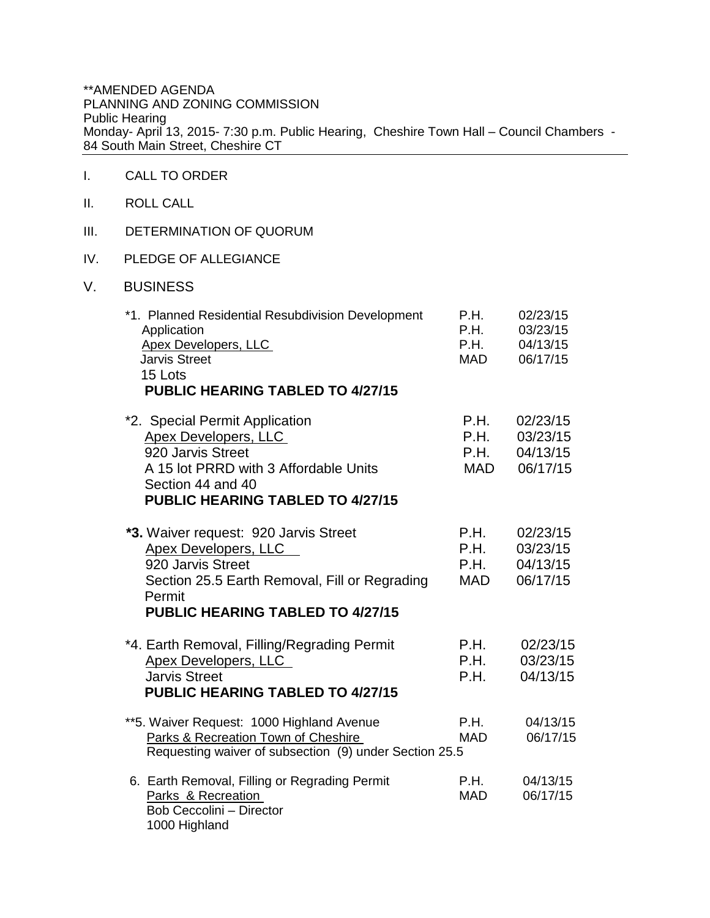\*\*AMENDED AGENDA PLANNING AND ZONING COMMISSION Public Hearing Monday- April 13, 2015- 7:30 p.m. Public Hearing, Cheshire Town Hall – Council Chambers - 84 South Main Street, Cheshire CT

## I. CALL TO ORDER

- II. ROLL CALL
- III. DETERMINATION OF QUORUM
- IV. PLEDGE OF ALLEGIANCE
- V. BUSINESS

| *1. Planned Residential Resubdivision Development<br>Application<br><b>Apex Developers, LLC</b><br><b>Jarvis Street</b><br>15 Lots                                                | P.H.<br><b>P.H.</b><br>P.H.<br>MAD | 02/23/15<br>03/23/15<br>04/13/15<br>06/17/15 |
|-----------------------------------------------------------------------------------------------------------------------------------------------------------------------------------|------------------------------------|----------------------------------------------|
| <b>PUBLIC HEARING TABLED TO 4/27/15</b>                                                                                                                                           |                                    |                                              |
| *2. Special Permit Application<br>Apex Developers, LLC<br>920 Jarvis Street<br>A 15 lot PRRD with 3 Affordable Units<br>Section 44 and 40<br>PUBLIC HEARING TABLED TO 4/27/15     | P.H.<br>P.H.<br>P.H.<br>MAD        | 02/23/15<br>03/23/15<br>04/13/15<br>06/17/15 |
| *3. Waiver request: 920 Jarvis Street<br>Apex Developers, LLC<br>920 Jarvis Street<br>Section 25.5 Earth Removal, Fill or Regrading<br>Permit<br>PUBLIC HEARING TABLED TO 4/27/15 | P.H.<br>P.H.<br>P.H.<br>MAD        | 02/23/15<br>03/23/15<br>04/13/15<br>06/17/15 |
| *4. Earth Removal, Filling/Regrading Permit<br>Apex Developers, LLC<br><b>Jarvis Street</b><br>PUBLIC HEARING TABLED TO 4/27/15                                                   | <b>P.H.</b><br>P.H.<br>P.H.        | 02/23/15<br>03/23/15<br>04/13/15             |
| **5. Waiver Request: 1000 Highland Avenue<br>Parks & Recreation Town of Cheshire<br>Requesting waiver of subsection (9) under Section 25.5                                        | <b>P.H.</b><br><b>MAD</b>          | 04/13/15<br>06/17/15                         |
| 6. Earth Removal, Filling or Regrading Permit<br>Parks & Recreation<br>Bob Ceccolini - Director<br>1000 Highland                                                                  | P.H.<br><b>MAD</b>                 | 04/13/15<br>06/17/15                         |